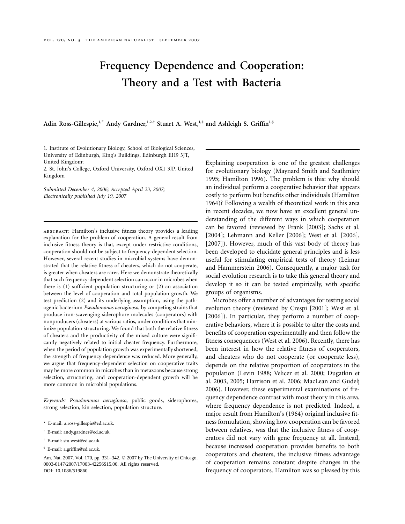# **Frequency Dependence and Cooperation: Theory and a Test with Bacteria**

**Adin Ross-Gillespie,1,**\* **Andy Gardner,1,2,**† **Stuart A. West,1,**‡ **and Ashleigh S. Griffin1,**§

1. Institute of Evolutionary Biology, School of Biological Sciences, University of Edinburgh, King's Buildings, Edinburgh EH9 3JT, United Kingdom;

2. St. John's College, Oxford University, Oxford OX1 3JP, United Kingdom

*Submitted December 4, 2006; Accepted April 23, 2007; Electronically published July 19, 2007*

abstract: Hamilton's inclusive fitness theory provides a leading explanation for the problem of cooperation. A general result from inclusive fitness theory is that, except under restrictive conditions, cooperation should not be subject to frequency-dependent selection. However, several recent studies in microbial systems have demonstrated that the relative fitness of cheaters, which do not cooperate, is greater when cheaters are rarer. Here we demonstrate theoretically that such frequency-dependent selection can occur in microbes when there is (1) sufficient population structuring or (2) an association between the level of cooperation and total population growth. We test prediction (2) and its underlying assumption, using the pathogenic bacterium *Pseudomonas aeruginosa*, by competing strains that produce iron-scavenging siderophore molecules (cooperators) with nonproducers (cheaters) at various ratios, under conditions that minimize population structuring. We found that both the relative fitness of cheaters and the productivity of the mixed culture were significantly negatively related to initial cheater frequency. Furthermore, when the period of population growth was experimentally shortened, the strength of frequency dependence was reduced. More generally, we argue that frequency-dependent selection on cooperative traits may be more common in microbes than in metazoans because strong selection, structuring, and cooperation-dependent growth will be more common in microbial populations.

*Keywords: Pseudomonas aeruginosa*, public goods, siderophores, strong selection, kin selection, population structure.

- \* E-mail: a.ross-gillespie@ed.ac.uk.
- † E-mail: andy.gardner@ed.ac.uk.
- ‡ E-mail: stu.west@ed.ac.uk.
- § E-mail: a.griffin@ed.ac.uk.

Am. Nat. 2007. Vol. 170, pp. 331–342. © 2007 by The University of Chicago. 0003-0147/2007/17003-42256\$15.00. All rights reserved. DOI: 10.1086/519860

Explaining cooperation is one of the greatest challenges for evolutionary biology (Maynard Smith and Szathmàry 1995; Hamilton 1996). The problem is this: why should an individual perform a cooperative behavior that appears costly to perform but benefits other individuals (Hamilton 1964)? Following a wealth of theoretical work in this area in recent decades, we now have an excellent general understanding of the different ways in which cooperation can be favored (reviewed by Frank [2003]; Sachs et al. [2004]; Lehmann and Keller [2006]; West et al. [2006], [2007]). However, much of this vast body of theory has been developed to elucidate general principles and is less useful for stimulating empirical tests of theory (Leimar and Hammerstein 2006). Consequently, a major task for social evolution research is to take this general theory and develop it so it can be tested empirically, with specific groups of organisms.

Microbes offer a number of advantages for testing social evolution theory (reviewed by Crespi [2001]; West et al. [2006]). In particular, they perform a number of cooperative behaviors, where it is possible to alter the costs and benefits of cooperation experimentally and then follow the fitness consequences (West et al. 2006). Recently, there has been interest in how the relative fitness of cooperators, and cheaters who do not cooperate (or cooperate less), depends on the relative proportion of cooperators in the population (Levin 1988; Velicer et al. 2000; Dugatkin et al. 2003, 2005; Harrison et al. 2006; MacLean and Gudelj 2006). However, these experimental examinations of frequency dependence contrast with most theory in this area, where frequency dependence is not predicted. Indeed, a major result from Hamilton's (1964) original inclusive fitness formulation, showing how cooperation can be favored between relatives, was that the inclusive fitness of cooperators did not vary with gene frequency at all. Instead, because increased cooperation provides benefits to both cooperators and cheaters, the inclusive fitness advantage of cooperation remains constant despite changes in the frequency of cooperators. Hamilton was so pleased by this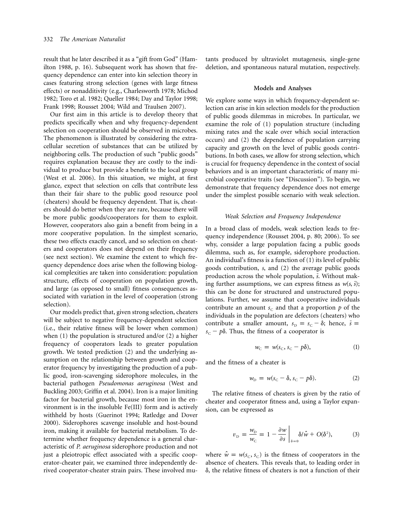result that he later described it as a "gift from God" (Hamilton 1988, p. 16). Subsequent work has shown that frequency dependence can enter into kin selection theory in cases featuring strong selection (genes with large fitness effects) or nonadditivity (e.g., Charlesworth 1978; Michod 1982; Toro et al. 1982; Queller 1984; Day and Taylor 1998; Frank 1998; Rousset 2004; Wild and Traulsen 2007).

Our first aim in this article is to develop theory that predicts specifically when and why frequency-dependent selection on cooperation should be observed in microbes. The phenomenon is illustrated by considering the extracellular secretion of substances that can be utilized by neighboring cells. The production of such "public goods" requires explanation because they are costly to the individual to produce but provide a benefit to the local group (West et al. 2006). In this situation, we might, at first glance, expect that selection on cells that contribute less than their fair share to the public good resource pool (cheaters) should be frequency dependent. That is, cheaters should do better when they are rare, because there will be more public goods/cooperators for them to exploit. However, cooperators also gain a benefit from being in a more cooperative population. In the simplest scenario, these two effects exactly cancel, and so selection on cheaters and cooperators does not depend on their frequency (see next section). We examine the extent to which frequency dependence does arise when the following biological complexities are taken into consideration: population structure, effects of cooperation on population growth, and large (as opposed to small) fitness consequences associated with variation in the level of cooperation (strong selection).

Our models predict that, given strong selection, cheaters will be subject to negative frequency-dependent selection (i.e., their relative fitness will be lower when common) when (1) the population is structured and/or (2) a higher frequency of cooperators leads to greater population growth. We tested prediction (2) and the underlying assumption on the relationship between growth and cooperator frequency by investigating the production of a public good, iron-scavenging siderophore molecules, in the bacterial pathogen *Pseudomonas aeruginosa* (West and Buckling 2003; Griffin et al. 2004). Iron is a major limiting factor for bacterial growth, because most iron in the environment is in the insoluble Fe(III) form and is actively withheld by hosts (Guerinot 1994; Ratledge and Dover 2000). Siderophores scavenge insoluble and host-bound iron, making it available for bacterial metabolism. To determine whether frequency dependence is a general characteristic of *P. aeruginosa* siderophore production and not just a pleiotropic effect associated with a specific cooperator-cheater pair, we examined three independently derived cooperator-cheater strain pairs. These involved mutants produced by ultraviolet mutagenesis, single-gene deletion, and spontaneous natural mutation, respectively.

#### **Models and Analyses**

We explore some ways in which frequency-dependent selection can arise in kin selection models for the production of public goods dilemmas in microbes. In particular, we examine the role of (1) population structure (including mixing rates and the scale over which social interaction occurs) and (2) the dependence of population carrying capacity and growth on the level of public goods contributions. In both cases, we allow for strong selection, which is crucial for frequency dependence in the context of social behaviors and is an important characteristic of many microbial cooperative traits (see "Discussion"). To begin, we demonstrate that frequency dependence does not emerge under the simplest possible scenario with weak selection.

#### *Weak Selection and Frequency Independence*

In a broad class of models, weak selection leads to frequency independence (Rousset 2004, p. 80; 2006). To see why, consider a large population facing a public goods dilemma, such as, for example, siderophore production. An individual's fitness is a function of (1) its level of public goods contribution, s, and (2) the average public goods production across the whole population,  $\overline{s}$ . Without making further assumptions, we can express fitness as  $w(s, \bar{s})$ ; this can be done for structured and unstructured populations. Further, we assume that cooperative individuals contribute an amount  $s_c$  and that a proportion  $p$  of the individuals in the population are defectors (cheaters) who contribute a smaller amount,  $s_D = s_C - \delta$ ; hence,  $\bar{s} =$  $s_c - p\delta$ . Thus, the fitness of a cooperator is

$$
w_{\rm C} = w(s_{\rm C}, s_{\rm C} - p\delta), \qquad (1)
$$

and the fitness of a cheater is

$$
w_{\rm D} = w(s_{\rm C} - \delta, s_{\rm C} - p\delta). \tag{2}
$$

The relative fitness of cheaters is given by the ratio of cheater and cooperator fitness and, using a Taylor expansion, can be expressed as

$$
v_{\rm D} = \frac{w_{\rm D}}{w_{\rm C}} = 1 - \frac{\partial w}{\partial s}\bigg|_{\delta = 0} \delta/\hat{w} + O(\delta^2),\tag{3}
$$

where  $\hat{w} = w(s_c, s_c)$  is the fitness of cooperators in the absence of cheaters. This reveals that, to leading order in  $\delta$ , the relative fitness of cheaters is not a function of their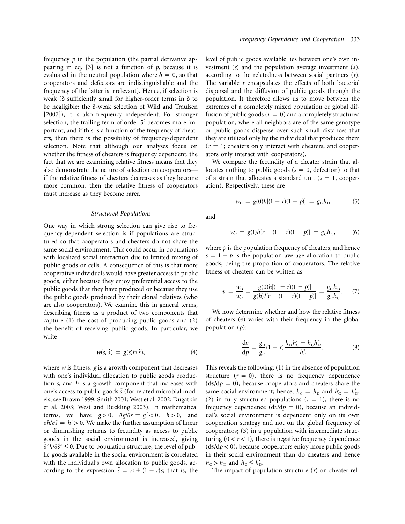frequency *p* in the population (the partial derivative appearing in eq. [3] is not a function of *p*, because it is evaluated in the neutral population where  $\delta = 0$ , so that cooperators and defectors are indistinguishable and the frequency of the latter is irrelevant). Hence, if selection is weak ( $\delta$  sufficiently small for higher-order terms in  $\delta$  to be negligible; the  $\delta$ -weak selection of Wild and Traulsen [2007]), it is also frequency independent. For stronger selection, the trailing term of order  $\delta^2$  becomes more important, and if this is a function of the frequency of cheaters, then there is the possibility of frequency-dependent selection. Note that although our analyses focus on whether the fitness of cheaters is frequency dependent, the fact that we are examining relative fitness means that they also demonstrate the nature of selection on cooperators if the relative fitness of cheaters decreases as they become more common, then the relative fitness of cooperators must increase as they become rarer.

# *Structured Populations*

One way in which strong selection can give rise to frequency-dependent selection is if populations are structured so that cooperators and cheaters do not share the same social environment. This could occur in populations with localized social interaction due to limited mixing of public goods or cells. A consequence of this is that more cooperative individuals would have greater access to public goods, either because they enjoy preferential access to the public goods that they have produced or because they use the public goods produced by their clonal relatives (who are also cooperators). We examine this in general terms, describing fitness as a product of two components that capture (1) the cost of producing public goods and (2) the benefit of receiving public goods. In particular, we write

$$
w(s, \hat{s}) = g(s)h(\hat{s}), \tag{4}
$$

where *w* is fitness, *g* is a growth component that decreases with one's individual allocation to public goods production *s*, and *h* is a growth component that increases with one's access to public goods  $\hat{s}$  (for related microbial models, see Brown 1999; Smith 2001; West et al. 2002; Dugatkin et al. 2003; West and Buckling 2003). In mathematical terms, we have  $g > 0$ ,  $\partial g/\partial s = g' < 0$ ,  $h > 0$ , and  $\partial h/\partial \hat{s} = h' > 0$ . We make the further assumption of linear or diminishing returns to fecundity as access to public goods in the social environment is increased, giving  $\partial^2 h / \partial \hat{s}^2 \leq 0$ . Due to population structure, the level of public goods available in the social environment is correlated with the individual's own allocation to public goods, according to the expression  $\hat{s} = rs + (1 - r)\bar{s}$ ; that is, the

level of public goods available lies between one's own investment ( $\overline{s}$ ) and the population average investment ( $\overline{s}$ ), according to the relatedness between social partners (*r*). The variable *r* encapsulates the effects of both bacterial dispersal and the diffusion of public goods through the population. It therefore allows us to move between the extremes of a completely mixed population or global diffusion of public goods ( $r = 0$ ) and a completely structured population, where all neighbors are of the same genotype or public goods disperse over such small distances that they are utilized only by the individual that produced them  $(r = 1;$  cheaters only interact with cheaters, and cooperators only interact with cooperators).

We compare the fecundity of a cheater strain that allocates nothing to public goods ( $s = 0$ , defection) to that of a strain that allocates a standard unit  $(s = 1,$  cooperation). Respectively, these are

$$
w_{\rm D} = g(0)h[(1 - r)(1 - p)] = g_{\rm D}h_{\rm D}
$$
 (5)

and

$$
w_{\rm c} = g(1)h[r + (1 - r)(1 - p)] = g_{\rm c}h_{\rm c}, \qquad (6)
$$

where *p* is the population frequency of cheaters, and hence  $\bar{s} = 1 - p$  is the population average allocation to public goods, being the proportion of cooperators. The relative fitness of cheaters can be written as

$$
v = \frac{w_{\rm D}}{w_{\rm C}} = \frac{g(0)h[(1-r)(1-p)]}{g(h)I[r + (1-r)(1-p)]} = \frac{g_{\rm D}h_{\rm D}}{g_{\rm C}h_{\rm C}}.\tag{7}
$$

We now determine whether and how the relative fitness of cheaters (*v*) varies with their frequency in the global population (*p*):

$$
\frac{dv}{dp} = \frac{g_D}{g_C}(1-r)\frac{h_D h'_C - h_C h'_D}{h_C^2}.
$$
 (8)

This reveals the following: (1) in the absence of population structure  $(r = 0)$ , there is no frequency dependence  $(dv/dp = 0)$ , because cooperators and cheaters share the same social environment; hence,  $h_C = h_D$  and  $h'_C = h'_D$ ; (2) in fully structured populations  $(r = 1)$ , there is no frequency dependence  $(dv/dp = 0)$ , because an individual's social environment is dependent only on its own cooperation strategy and not on the global frequency of cooperators; (3) in a population with intermediate structuring  $(0 < r < 1)$ , there is negative frequency dependence  $(dv/dp < 0)$ , because cooperators enjoy more public goods in their social environment than do cheaters and hence  $h_c > h_D$  and  $h'_c \leq h'_D$ .

The impact of population structure (*r*) on cheater rel-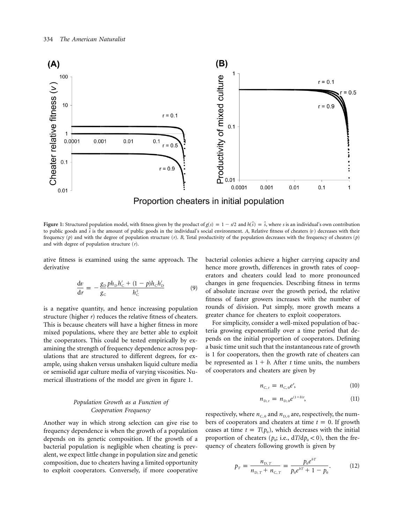

**Figure 1:** Structured population model, with fitness given by the product of  $g(s) = 1 - s/2$  and  $h(\hat{s}) = \hat{s}$ , where *s* is an individual's own contribution to public goods and  $\hat{s}$  is the amount of public goods in the individual's social environment. A, Relative fitness of cheaters  $(v)$  decreases with their frequency  $(p)$  and with the degree of population structure  $(r)$ . *B*, Total productivity of the population decreases with the frequency of cheaters  $(p)$ and with degree of population structure (*r*).

ative fitness is examined using the same approach. The derivative

$$
\frac{dv}{dr} = -\frac{g_D}{g_C} \frac{ph_D h'_C + (1 - p)h_C h'_D}{h_C^2}
$$
(9)

is a negative quantity, and hence increasing population structure (higher *r*) reduces the relative fitness of cheaters. This is because cheaters will have a higher fitness in more mixed populations, where they are better able to exploit the cooperators. This could be tested empirically by examining the strength of frequency dependence across populations that are structured to different degrees, for example, using shaken versus unshaken liquid culture media or semisolid agar culture media of varying viscosities. Numerical illustrations of the model are given in figure 1.

# *Population Growth as a Function of Cooperation Frequency*

Another way in which strong selection can give rise to frequency dependence is when the growth of a population depends on its genetic composition. If the growth of a bacterial population is negligible when cheating is prevalent, we expect little change in population size and genetic composition, due to cheaters having a limited opportunity to exploit cooperators. Conversely, if more cooperative

bacterial colonies achieve a higher carrying capacity and hence more growth, differences in growth rates of cooperators and cheaters could lead to more pronounced changes in gene frequencies. Describing fitness in terms of absolute increase over the growth period, the relative fitness of faster growers increases with the number of rounds of division. Put simply, more growth means a greater chance for cheaters to exploit cooperators.

For simplicity, consider a well-mixed population of bacteria growing exponentially over a time period that depends on the initial proportion of cooperators. Defining a basic time unit such that the instantaneous rate of growth is 1 for cooperators, then the growth rate of cheaters can be represented as  $1 + b$ . After *t* time units, the numbers of cooperators and cheaters are given by

$$
n_{C,t} = n_{C,0}e^t, \t\t(10)
$$

$$
n_{\mathrm{D},t} = n_{\mathrm{D},0} e^{(1+b)t}, \tag{11}
$$

respectively, where  $n_{C,0}$  and  $n_{D,0}$  are, respectively, the numbers of cooperators and cheaters at time  $t = 0$ . If growth ceases at time  $t = T(p_0)$ , which decreases with the initial proportion of cheaters ( $p_0$ ; i.e.,  $dT/dp_0 < 0$ ), then the frequency of cheaters following growth is given by

$$
p_T = \frac{n_{\text{D},T}}{n_{\text{D},T} + n_{\text{C},T}} = \frac{p_0 e^{bT}}{p_0 e^{bT} + 1 - p_0}.
$$
 (12)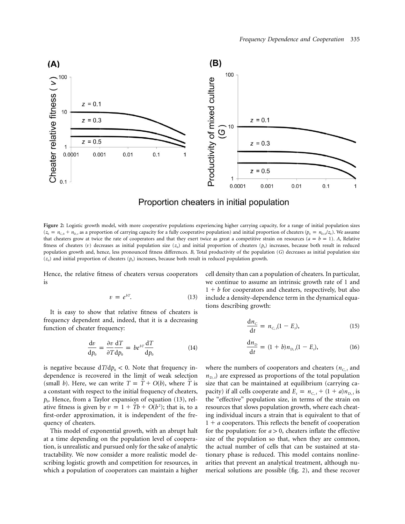

# Proportion cheaters in initial population

**Figure 2:** Logistic growth model, with more cooperative populations experiencing higher carrying capacity, for a range of initial population sizes  $(z_0 = n_{c,0} + n_{D,i}$  as a proportion of carrying capacity for a fully cooperative population) and initial proportion of cheaters  $(p_0 = n_{D,i}/z_0)$ . We assume that cheaters grow at twice the rate of cooperators and that they exert twice as great a competitive strain on resources ( $a = b = 1$ ). A, Relative fitness of cheaters (*v*) decreases as initial population size ( $z_0$ ) and initial proportion of cheaters ( $p_0$ ) increases, because both result in reduced population growth and, hence, less pronounced fitness differences. *B*, Total productivity of the population (*G*) decreases as initial population size  $(z_0)$  and initial proportion of cheaters  $(p_0)$  increases, because both result in reduced population growth.

Hence, the relative fitness of cheaters versus cooperators is

$$
v = e^{bT}.\tag{13}
$$

It is easy to show that relative fitness of cheaters is frequency dependent and, indeed, that it is a decreasing function of cheater frequency:

$$
\frac{\mathrm{d}v}{\mathrm{d}p_{\mathrm{o}}} = \frac{\partial v}{\partial T}\frac{\mathrm{d}T}{\mathrm{d}p_{\mathrm{o}}} = be^{bT}\frac{\mathrm{d}T}{\mathrm{d}p_{\mathrm{o}}} \tag{14}
$$

is negative because  $dT/dp_0 < 0$ . Note that frequency independence is recovered in the limit of weak selection (small *b*). Here, we can write  $T = \hat{T} + O(b)$ , where  $\hat{T}$  is a constant with respect to the initial frequency of cheaters,  $p_0$ . Hence, from a Taylor expansion of equation (13), relative fitness is given by  $v = 1 + \hat{T}b + O(b^2)$ ; that is, to a first-order approximation, it is independent of the frequency of cheaters.

This model of exponential growth, with an abrupt halt at a time depending on the population level of cooperation, is unrealistic and pursued only for the sake of analytic tractability. We now consider a more realistic model describing logistic growth and competition for resources, in which a population of cooperators can maintain a higher cell density than can a population of cheaters. In particular, we continue to assume an intrinsic growth rate of 1 and  $1 + b$  for cooperators and cheaters, respectively, but also include a density-dependence term in the dynamical equations describing growth:

$$
\frac{\mathrm{d}n_{\mathrm{C}}}{\mathrm{d}t} = n_{\mathrm{C},l}(1 - E_{t}),\tag{15}
$$

$$
\frac{dn_{\rm D}}{dt} = (1+b)n_{\rm D, t}(1-E_t),\tag{16}
$$

where the numbers of cooperators and cheaters  $(n_{C, t}$  and  $n_{\text{D},t}$ ) are expressed as proportions of the total population size that can be maintained at equilibrium (carrying capacity) if all cells cooperate and  $E_t = n_{C, t} + (1 + a)n_{D, t}$  is the "effective" population size, in terms of the strain on resources that slows population growth, where each cheating individual incurs a strain that is equivalent to that of 1 + *a* cooperators. This reflects the benefit of cooperation for the population: for  $a > 0$ , cheaters inflate the effective size of the population so that, when they are common, the actual number of cells that can be sustained at stationary phase is reduced. This model contains nonlinearities that prevent an analytical treatment, although numerical solutions are possible (fig. 2), and these recover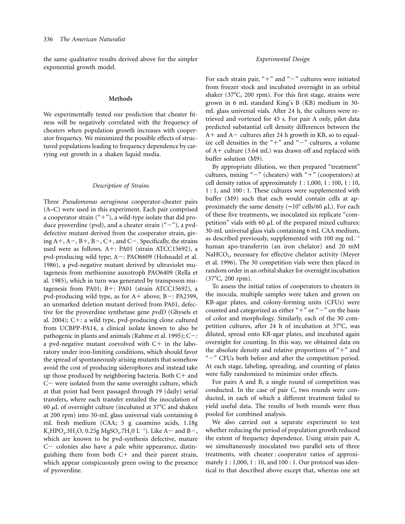the same qualitative results derived above for the simpler exponential growth model.

# **Methods**

We experimentally tested our prediction that cheater fitness will be negatively correlated with the frequency of cheaters when population growth increases with cooperator frequency. We minimized the possible effects of structured populations leading to frequency dependence by carrying out growth in a shaken liquid media.

#### *Description of Strains*

Three *Pseudomonas aeruginosa* cooperator-cheater pairs (A–C) were used in this experiment. Each pair comprised a cooperator strain ("-"), a wild-type isolate that did produce pyoverdine (pvd), and a cheater strain  $($ "-"), a pvddefective mutant derived from the cooperator strain, giving  $A+$ ,  $A-$ ,  $B+$ ,  $B-$ ,  $C+$ , and  $C-$ . Specifically, the strains used were as follows. A+: PA01 (strain ATCC15692), a pvd-producing wild type; A-: PAO6609 (Hohnadel et al. 1986), a pvd-negative mutant derived by ultraviolet mutagenesis from methionine auxotroph PAO6409 (Rella et al. 1985), which in turn was generated by transposon mutagenesis from PA01; B+: PA01 (strain ATCC15692), a pvd-producing wild type, as for A+ above; B-: PA2399, an unmarked deletion mutant derived from PA01, defective for the pyoverdine synthetase gene *pvdD* (Ghysels et al. 2004); C+: a wild type, pvd-producing clone cultured from UCBPP-PA14, a clinical isolate known to also be pathogenic in plants and animals (Rahme et al. 1995);  $C-$ : a pvd-negative mutant coevolved with  $C+$  in the laboratory under iron-limiting conditions, which should favor the spread of spontaneously arising mutants that somehow avoid the cost of producing siderophores and instead take up those produced by neighboring bacteria. Both C+ and  $C<sub>-</sub>$  were isolated from the same overnight culture, which at that point had been passaged through 19 (daily) serial transfers, where each transfer entailed the inoculation of 60  $\mu$ L of overnight culture (incubated at 37°C and shaken at 200 rpm) into 30-mL glass universal vials containing 6 mL fresh medium (CAA; 5 g casamino acids, 1.18g  $K_2$ HPO<sub>4</sub>.3H<sub>2</sub>O, 0.25g MgSO<sub>4</sub>.7H<sub>2</sub>0 L<sup>-1</sup>). Like A– and B–, which are known to be pvd-synthesis defective, mature  $C<sub>-</sub>$  colonies also have a pale white appearance, distinguishing them from both C+ and their parent strain, which appear conspicuously green owing to the presence of pyoverdine.

# *Experimental Design*

For each strain pair, " $+$ " and " $-$ " cultures were initiated from freezer stock and incubated overnight in an orbital shaker (37°C, 200 rpm). For this first stage, strains were grown in 6 mL standard King's B (KB) medium in 30 mL glass universal vials. After 24 h, the cultures were retrieved and vortexed for 45 s. For pair A only, pilot data predicted substantial cell density differences between the A+ and A- cultures after 24 h growth in KB, so to equalize cell densities in the " $+$ " and " $-$ " cultures, a volume of A+ culture (3.64 mL) was drawn off and replaced with buffer solution (M9).

By appropriate dilution, we then prepared "treatment" cultures, mixing " $-$ " (cheaters) with " $+$ " (cooperators) at cell density ratios of approximately 1 : 1,000, 1 : 100, 1 : 10, 1 : 1, and 100 : 1. These cultures were supplemented with buffer (M9) such that each would contain cells at approximately the same density ( $\sim$ 10<sup>6</sup> cells/60  $\mu$ L). For each of these five treatments, we inoculated six replicate "competition" vials with 60  $\mu$ L of the prepared mixed cultures: 30-mL universal glass vials containing 6 mL CAA medium, as described previously, supplemented with 100 mg  $mL^{-1}$ human apo-transferrin (an iron chelator) and 20 mM NaHCO<sub>3</sub>, necessary for effective chelator activity (Meyer et al. 1996). The 30 competition vials were then placed in random order in an orbital shaker for overnight incubation (37-C, 200 rpm).

To assess the initial ratios of cooperators to cheaters in the inocula, multiple samples were taken and grown on KB-agar plates, and colony-forming units (CFUs) were counted and categorized as either " $+$ " or " $-$ " on the basis of color and morphology. Similarly, each of the 30 competition cultures, after 24 h of incubation at 37°C, was diluted, spread onto KB-agar plates, and incubated again overnight for counting. In this way, we obtained data on the absolute density and relative proportions of "+" and " $-$ " CFUs both before and after the competition period. At each stage, labeling, spreading, and counting of plates were fully randomized to minimize order effects.

For pairs A and B, a single round of competition was conducted. In the case of pair C, two rounds were conducted, in each of which a different treatment failed to yield useful data. The results of both rounds were thus pooled for combined analysis.

We also carried out a separate experiment to test whether reducing the period of population growth reduced the extent of frequency dependence. Using strain pair A, we simultaneously inoculated two parallel sets of three treatments, with cheater : cooperator ratios of approximately 1 : 1,000, 1 : 10, and 100 : 1. Our protocol was identical to that described above except that, whereas one set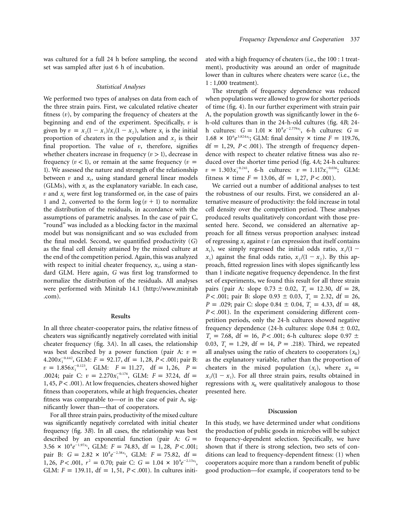was cultured for a full 24 h before sampling, the second set was sampled after just 6 h of incubation.

### *Statistical Analyses*

We performed two types of analyses on data from each of the three strain pairs. First, we calculated relative cheater fitness (*v*), by comparing the frequency of cheaters at the beginning and end of the experiment. Specifically, v is given by  $v = x_2(1 - x_1)/x_1(1 - x_2)$ , where  $x_1$  is the initial proportion of cheaters in the population and  $x_2$  is their final proportion. The value of  $v$ , therefore, signifies whether cheaters increase in frequency  $(v > 1)$ , decrease in frequency  $(v < 1)$ , or remain at the same frequency  $(v = 1)$ 1). We assessed the nature and strength of the relationship between  $v$  and  $x_1$ , using standard general linear models (GLMs), with  $x_1$  as the explanatory variable. In each case,  $v$  and  $x<sub>1</sub>$  were first log transformed or, in the case of pairs 1 and 2, converted to the form  $\log (v + 1)$  to normalize the distribution of the residuals, in accordance with the assumptions of parametric analyses. In the case of pair C, "round" was included as a blocking factor in the maximal model but was nonsignificant and so was excluded from the final model. Second, we quantified productivity (*G*) as the final cell density attained by the mixed culture at the end of the competition period. Again, this was analyzed with respect to initial cheater frequency,  $x_1$ , using a standard GLM. Here again, *G* was first log transformed to normalize the distribution of the residuals. All analyses were performed with Minitab 14.1 (http://www.minitab .com).

# **Results**

In all three cheater-cooperator pairs, the relative fitness of cheaters was significantly negatively correlated with initial cheater frequency (fig. 3*A*). In all cases, the relationship was best described by a power function (pair A:  $v =$ 4.200 $x_1^{-0.442}$ , GLM:  $F = 92.17$ , df = 1, 28, P < .001; pair B:  $v = 1.856x_1^{-0.123}$ , GLM:  $F = 11.27$ , df = 1, 26,  $P =$ .0024; pair C:  $v = 2.270x_1^{-0.176}$ , GLM:  $F = 37.24$ , df = 1, 45,  $P < .001$ ). At low frequencies, cheaters showed higher fitness than cooperators, while at high frequencies, cheater fitness was comparable to—or in the case of pair A, significantly lower than—that of cooperators.

For all three strain pairs, productivity of the mixed culture was significantly negatively correlated with initial cheater frequency (fig. 3*B*). In all cases, the relationship was best described by an exponential function (pair A:  $G =$ 3.56  $\times$  10<sup>8</sup> $e^{-1.97x_1}$ , GLM:  $F = 74.83$ , df = 1, 28, P < .001; pair B:  $G = 2.82 \times 10^8 e^{-2.38x_1}$ , GLM:  $F = 75.82$ , df = 1, 26, P < .001,  $r^2 = 0.70$ ; pair C:  $G = 1.04 \times 10^9 e^{-2.13x_1}$ , GLM:  $F = 139.11$ ,  $df = 1, 51$ ,  $P < .001$ ). In cultures initiated with a high frequency of cheaters (i.e., the 100 : 1 treatment), productivity was around an order of magnitude lower than in cultures where cheaters were scarce (i.e., the 1 : 1,000 treatment).

The strength of frequency dependence was reduced when populations were allowed to grow for shorter periods of time (fig. 4). In our further experiment with strain pair A, the population growth was significantly lower in the 6 h-old cultures than in the 24-h-old cultures (fig. 4*B*; 24 h cultures:  $G = 1.01 \times 10^{8} e^{-2.779x_1}$ , 6-h cultures:  $G =$ 1.68  $\times$  10<sup>6</sup> $e^{3.824x_1}$ ; GLM: final density  $\times$  time  $F = 119.76$ ,  $df = 1, 29, P < .001$ . The strength of frequency dependence with respect to cheater relative fitness was also reduced over the shorter time period (fig. 4*A*; 24-h cultures:  $v = 1.303x_1^{-0.241}$ , 6-h cultures:  $v = 1.117x_1^{-0.036}$ ; GLM: fitness  $\times$  time  $F = 13.06$ , df = 1, 27,  $P < .001$ ).

We carried out a number of additional analyses to test the robustness of our results. First, we considered an alternative measure of productivity: the fold increase in total cell density over the competition period. These analyses produced results qualitatively concordant with those presented here. Second, we considered an alternative approach for all fitness versus proportion analyses: instead of regressing  $x_i$  against  $v$  (an expression that itself contains  $x_1$ ), we simply regressed the initial odds ratio,  $x_1/(1 - x_1)$  $x_1$ ) against the final odds ratio,  $x_2/(1-x_2)$ . By this approach, fitted regression lines with slopes significantly less than 1 indicate negative frequency dependence. In the first set of experiments, we found this result for all three strain pairs (pair A: slope  $0.73 \pm 0.02$ ,  $T_s = 12.30$ , df = 28, *P* < .001; pair B: slope 0.93  $\pm$  0.03, *T*<sub>s</sub> = 2.32, df = 26, *P* = .029; pair C: slope 0.84  $\pm$  0.04,  $T_s$  = 4.33, df = 48,  $P < .001$ ). In the experiment considering different competition periods, only the 24-h cultures showed negative frequency dependence (24-h cultures: slope  $0.84 \pm 0.02$ ,  $T_s$  = 7.68, df = 16, *P* < .001; 6-h cultures: slope 0.97  $\pm$ 0.03,  $T_s = 1.29$ , df = 14,  $P = .218$ ). Third, we repeated all analyses using the ratio of cheaters to cooperators  $(x_R)$ as the explanatory variable, rather than the proportion of cheaters in the mixed population  $(x_1)$ , where  $x_R =$  $x_1/(1 - x_1)$ . For all three strain pairs, results obtained in regressions with  $x_R$  were qualitatively analogous to those presented here.

#### **Discussion**

In this study, we have determined under what conditions the production of public goods in microbes will be subject to frequency-dependent selection. Specifically, we have shown that if there is strong selection, two sets of conditions can lead to frequency-dependent fitness: (1) when cooperators acquire more than a random benefit of public good production—for example, if cooperators tend to be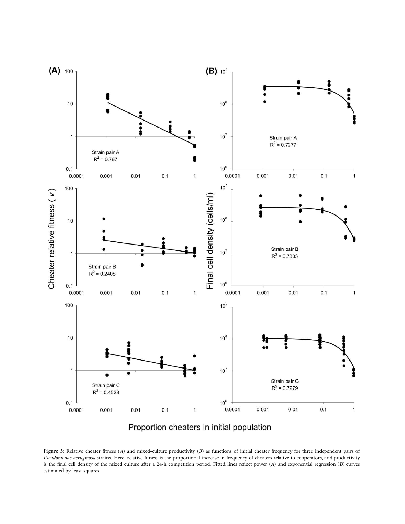

Proportion cheaters in initial population

**Figure 3:** Relative cheater fitness (*A*) and mixed-culture productivity (*B*) as functions of initial cheater frequency for three independent pairs of *Pseudomonas aeruginosa* strains. Here, relative fitness is the proportional increase in frequency of cheaters relative to cooperators, and productivity is the final cell density of the mixed culture after a 24-h competition period. Fitted lines reflect power (*A*) and exponential regression (*B*) curves estimated by least squares.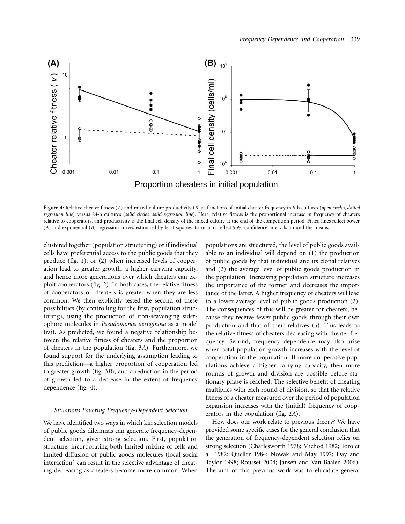

**Figure 4:** Relative cheater fitness (*A*) and mixed-culture productivity (*B*) as functions of initial cheater frequency in 6-h cultures (*open circles*, *dotted regression line*) versus 24-h cultures (*solid circles*, *solid regression line*). Here, relative fitness is the proportional increase in frequency of cheaters relative to cooperators, and productivity is the final cell density of the mixed culture at the end of the competition period. Fitted lines reflect power (*A*) and exponential (*B*) regression curves estimated by least squares. Error bars reflect 95% confidence intervals around the means.

clustered together (population structuring) or if individual cells have preferential access to the public goods that they produce (fig. 1); or (2) when increased levels of cooperation lead to greater growth, a higher carrying capacity, and hence more generations over which cheaters can exploit cooperators (fig. 2). In both cases, the relative fitness of cooperators or cheaters is greater when they are less common. We then explicitly tested the second of these possibilities (by controlling for the first, population structuring), using the production of iron-scavenging siderophore molecules in *Pseudomonas aeruginosa* as a model trait. As predicted, we found a negative relationship between the relative fitness of cheaters and the proportion of cheaters in the population (fig. 3*A*). Furthermore, we found support for the underlying assumption leading to this prediction—a higher proportion of cooperation led to greater growth (fig. 3*B*), and a reduction in the period of growth led to a decrease in the extent of frequency dependence (fig. 4).

# *Situations Favoring Frequency-Dependent Selection*

We have identified two ways in which kin selection models of public goods dilemmas can generate frequency-dependent selection, given strong selection. First, population structure, incorporating both limited mixing of cells and limited diffusion of public goods molecules (local social interaction) can result in the selective advantage of cheating decreasing as cheaters become more common. When populations are structured, the level of public goods available to an individual will depend on (1) the production of public goods by that individual and its clonal relatives and (2) the average level of public goods production in the population. Increasing population structure increases the importance of the former and decreases the importance of the latter. A higher frequency of cheaters will lead to a lower average level of public goods production (2). The consequences of this will be greater for cheaters, because they receive fewer public goods through their own production and that of their relatives (a). This leads to the relative fitness of cheaters decreasing with cheater frequency. Second, frequency dependence may also arise when total population growth increases with the level of cooperation in the population. If more cooperative populations achieve a higher carrying capacity, then more rounds of growth and division are possible before stationary phase is reached. The selective benefit of cheating multiplies with each round of division, so that the relative fitness of a cheater measured over the period of population expansion increases with the (initial) frequency of cooperators in the population (fig. 2*A*).

How does our work relate to previous theory? We have provided some specific cases for the general conclusion that the generation of frequency-dependent selection relies on strong selection (Charlesworth 1978; Michod 1982; Toro et al. 1982; Queller 1984; Nowak and May 1992; Day and Taylor 1998; Rousset 2004; Jansen and Van Baalen 2006). The aim of this previous work was to elucidate general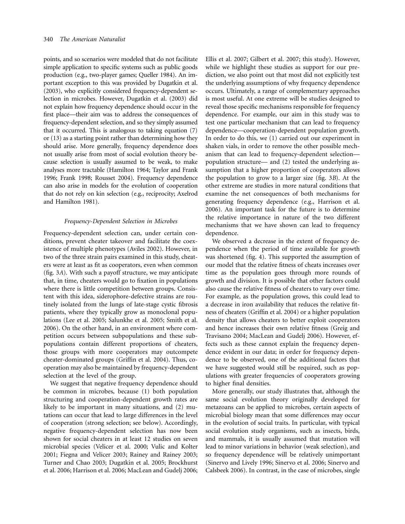points, and so scenarios were modeled that do not facilitate simple application to specific systems such as public goods production (e.g., two-player games; Queller 1984). An important exception to this was provided by Dugatkin et al. (2003), who explicitly considered frequency-dependent selection in microbes. However, Dugatkin et al. (2003) did not explain how frequency dependence should occur in the first place—their aim was to address the consequences of frequency-dependent selection, and so they simply assumed that it occurred. This is analogous to taking equation (7) or (13) as a starting point rather than determining how they should arise. More generally, frequency dependence does not usually arise from most of social evolution theory because selection is usually assumed to be weak, to make analyses more tractable (Hamilton 1964; Taylor and Frank 1996; Frank 1998; Rousset 2004). Frequency dependence can also arise in models for the evolution of cooperation that do not rely on kin selection (e.g., reciprocity; Axelrod and Hamilton 1981).

# *Frequency-Dependent Selection in Microbes*

Frequency-dependent selection can, under certain conditions, prevent cheater takeover and facilitate the coexistence of multiple phenotypes (Aviles 2002). However, in two of the three strain pairs examined in this study, cheaters were at least as fit as cooperators, even when common (fig. 3*A*). With such a payoff structure, we may anticipate that, in time, cheaters would go to fixation in populations where there is little competition between groups. Consistent with this idea, siderophore-defective strains are routinely isolated from the lungs of late-stage cystic fibrosis patients, where they typically grow as monoclonal populations (Lee et al. 2005; Salunkhe et al. 2005; Smith et al. 2006). On the other hand, in an environment where competition occurs between subpopulations and these subpopulations contain different proportions of cheaters, those groups with more cooperators may outcompete cheater-dominated groups (Griffin et al. 2004). Thus, cooperation may also be maintained by frequency-dependent selection at the level of the group.

We suggest that negative frequency dependence should be common in microbes, because (1) both population structuring and cooperation-dependent growth rates are likely to be important in many situations, and (2) mutations can occur that lead to large differences in the level of cooperation (strong selection; see below). Accordingly, negative frequency-dependent selection has now been shown for social cheaters in at least 12 studies on seven microbial species (Velicer et al. 2000; Vulic and Kolter 2001; Fiegna and Velicer 2003; Rainey and Rainey 2003; Turner and Chao 2003; Dugatkin et al. 2005; Brockhurst et al. 2006; Harrison et al. 2006; MacLean and Gudelj 2006;

Ellis et al. 2007; Gilbert et al. 2007; this study). However, while we highlight these studies as support for our prediction, we also point out that most did not explicitly test the underlying assumptions of why frequency dependence occurs. Ultimately, a range of complementary approaches is most useful. At one extreme will be studies designed to reveal those specific mechanisms responsible for frequency dependence. For example, our aim in this study was to test one particular mechanism that can lead to frequency dependence—cooperation-dependent population growth. In order to do this, we (1) carried out our experiment in shaken vials, in order to remove the other possible mechanism that can lead to frequency-dependent selection population structure— and (2) tested the underlying assumption that a higher proportion of cooperators allows the population to grow to a larger size (fig. 3*B*). At the other extreme are studies in more natural conditions that examine the net consequences of both mechanisms for generating frequency dependence (e.g., Harrison et al. 2006). An important task for the future is to determine the relative importance in nature of the two different mechanisms that we have shown can lead to frequency dependence.

We observed a decrease in the extent of frequency dependence when the period of time available for growth was shortened (fig. 4). This supported the assumption of our model that the relative fitness of cheats increases over time as the population goes through more rounds of growth and division. It is possible that other factors could also cause the relative fitness of cheaters to vary over time. For example, as the population grows, this could lead to a decrease in iron availability that reduces the relative fitness of cheaters (Griffin et al. 2004) or a higher population density that allows cheaters to better exploit cooperators and hence increases their own relative fitness (Greig and Travisano 2004; MacLean and Gudelj 2006). However, effects such as these cannot explain the frequency dependence evident in our data; in order for frequency dependence to be observed, one of the additional factors that we have suggested would still be required, such as populations with greater frequencies of cooperators growing to higher final densities.

More generally, our study illustrates that, although the same social evolution theory originally developed for metazoans can be applied to microbes, certain aspects of microbial biology mean that some differences may occur in the evolution of social traits. In particular, with typical social evolution study organisms, such as insects, birds, and mammals, it is usually assumed that mutation will lead to minor variations in behavior (weak selection), and so frequency dependence will be relatively unimportant (Sinervo and Lively 1996; Sinervo et al. 2006; Sinervo and Calsbeek 2006). In contrast, in the case of microbes, single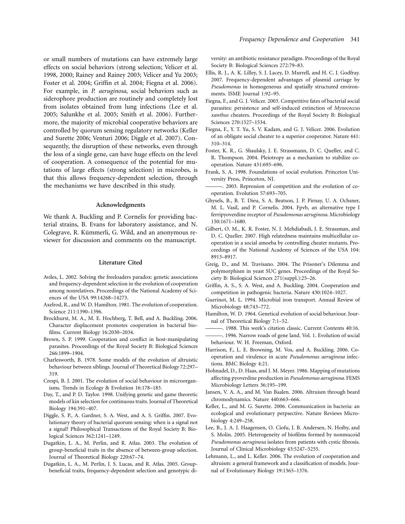or small numbers of mutations can have extremely large effects on social behaviors (strong selection; Velicer et al. 1998, 2000; Rainey and Rainey 2003; Velicer and Yu 2003; Foster et al. 2004; Griffin et al. 2004; Fiegna et al. 2006). For example, in *P. aeruginosa*, social behaviors such as siderophore production are routinely and completely lost from isolates obtained from lung infections (Lee et al. 2005; Salunkhe et al. 2005; Smith et al. 2006). Furthermore, the majority of microbial cooperative behaviors are controlled by quorum sensing regulatory networks (Keller and Surette 2006; Venturi 2006; Diggle et al. 2007). Consequently, the disruption of these networks, even through the loss of a single gene, can have huge effects on the level of cooperation. A consequence of the potential for mutations of large effects (strong selection) in microbes, is that this allows frequency-dependent selection, through the mechanisms we have described in this study.

# **Acknowledgments**

We thank A. Buckling and P. Cornelis for providing bacterial strains, B. Evans for laboratory assistance, and N. Colegrave, R. Kümmerli, G. Wild, and an anonymous reviewer for discussion and comments on the manuscript.

# **Literature Cited**

- Aviles, L. 2002. Solving the freeloaders paradox: genetic associations and frequency-dependent selection in the evolution of cooperation among nonrelatives. Proceedings of the National Academy of Sciences of the USA 99:14268–14273.
- Axelrod, R., and W. D. Hamilton. 1981. The evolution of cooperation. Science 211:1390–1396.
- Brockhurst, M. A., M. E. Hochberg, T. Bell, and A. Buckling. 2006. Character displacement promotes cooperation in bacterial biofilms. Current Biology 16:2030–2034.
- Brown, S. P. 1999. Cooperation and conflict in host-manipulating parasites. Proceedings of the Royal Society B: Biological Sciences 266:1899–1904.
- Charlesworth, B. 1978. Some models of the evolution of altruistic behaviour between siblings. Journal of Theoretical Biology 72:297– 319.
- Crespi, B. J. 2001. The evolution of social behaviour in microorganisms. Trends in Ecology & Evolution 16:178–183.
- Day, T., and P. D. Taylor. 1998. Unifying genetic and game theoretic models of kin selection for continuous traits. Journal of Theoretical Biology 194:391–407.
- Diggle, S. P., A. Gardner, S. A. West, and A. S. Griffin. 2007. Evolutionary theory of bacterial quorum sensing: when is a signal not a signal? Philosophical Transactions of the Royal Society B: Biological Sciences 362:1241–1249.
- Dugatkin, L. A., M. Perlin, and R. Atlas. 2003. The evolution of group-beneficial traits in the absence of between-group selection. Journal of Theoretical Biology 220:67–74.
- Dugatkin, L. A., M. Perlin, J. S. Lucas, and R. Atlas. 2005. Groupbeneficial traits, frequency-dependent selection and genotypic di-

versity: an antibiotic resistance paradigm. Proceedings of the Royal Society B: Biological Sciences 272:79–83.

- Ellis, R. J., A. K. Lilley, S. J. Lacey, D. Murrell, and H. C. J. Godfray. 2007. Frequency-dependent advantages of plasmid carriage by *Pseudomonas* in homogeneous and spatially structured environments. ISME Journal 1:92–95.
- Fiegna, F., and G. J. Velicer. 2003. Competitive fates of bacterial social parasites: persistence and self-induced extinction of *Myxococcus xanthus* cheaters. Proceedings of the Royal Society B: Biological Sciences 270:1527–1534.
- Fiegna, F., Y. T. Yu, S. V. Kadam, and G. J. Velicer. 2006. Evolution of an obligate social cheater to a superior cooperator. Nature 441: 310–314.
- Foster, K. R., G. Shaulsky, J. E. Strassmann, D. C. Queller, and C. R. Thompson. 2004. Pleiotropy as a mechanism to stabilize cooperation. Nature 431:693–696.
- Frank, S. A. 1998. Foundations of social evolution. Princeton University Press, Princeton, NJ.
- ———. 2003. Repression of competition and the evolution of cooperation. Evolution 57:693–705.
- Ghysels, B., B. T. Dieu, S. A. Beatson, J. P. Pirnay, U. A. Ochsner, M. L. Vasil, and P. Cornelis. 2004. Fpvb, an alternative type I ferripyoverdine receptor of *Pseudomonas aeruginosa*. Microbiology 150:1671–1680.
- Gilbert, O. M., K. R. Foster, N. J. Mehdiabadi, J. E. Strassman, and D. C. Queller. 2007. High relatedness maintains multicellular cooperation in a social amoeba by controlling cheater mutants. Proceedings of the National Academy of Sciences of the USA 104: 8913–8917.
- Greig, D., and M. Travisano. 2004. The Prisoner's Dilemma and polymorphism in yeast SUC genes. Proceedings of the Royal Society B: Biological Sciences 271(suppl.):25–26.
- Griffin, A. S., S. A. West, and A. Buckling. 2004. Cooperation and competition in pathogenic bacteria. Nature 430:1024–1027.
- Guerinot, M. L. 1994. Microbial iron transport. Annual Review of Microbiology 48:743–772.
- Hamilton, W. D. 1964. Genetical evolution of social behaviour. Journal of Theoretical Biology 7:1–52.
- ———. 1988. This week's citation classic. Current Contents 40:16. ———. 1996. Narrow roads of gene land. Vol. 1. Evolution of social behaviour. W. H. Freeman, Oxford.
- Harrison, F., L. E. Browning, M. Vos, and A. Buckling. 2006. Cooperation and virulence in acute *Pseudomonas aeruginosa* infections. BMC Biology 4:21.
- Hohnadel, D., D. Haas, and J. M. Meyer. 1986. Mapping of mutations affecting pyoverdine production in *Pseudomonas aeruginosa*. FEMS Microbiology Letters 36:195–199.
- Jansen, V. A. A., and M. Van Baalen. 2006. Altruism through beard chromodynamics. Nature 440:663–666.
- Keller, L., and M. G. Surette. 2006. Communication in bacteria: an ecological and evolutionary perpsective. Nature Reviews Microbiology 4:249–258.
- Lee, B., J. A. J. Haagensen, O. Ciofu, J. B. Andersen, N. Hoiby, and S. Molin. 2005. Heterogeneity of biofilms formed by nonmucoid *Pseudomonas aeruginosa* isolates from patients with cystic fibrosis. Journal of Clinical Microbiology 43:5247–5255.
- Lehmann, L., and L. Keller. 2006. The evolution of cooperation and altruism: a general framework and a classification of models. Journal of Evolutionary Biology 19:1365–1376.